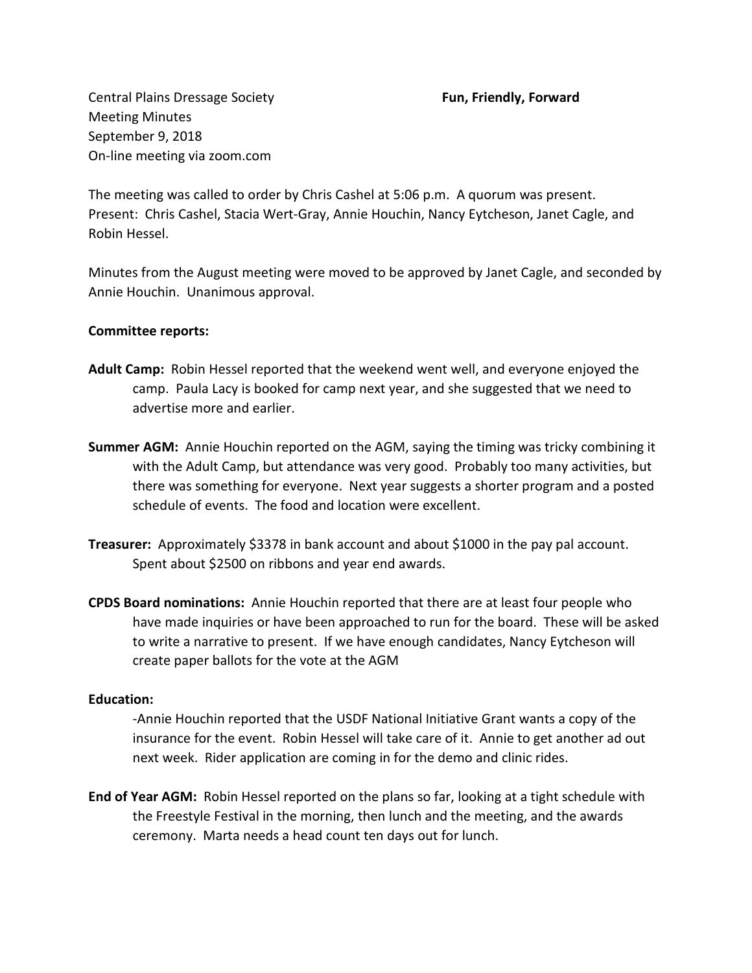Central Plains Dressage Society **Fun, Friendly, Forward**  Meeting Minutes September 9, 2018 On-line meeting via zoom.com

The meeting was called to order by Chris Cashel at 5:06 p.m. A quorum was present. Present: Chris Cashel, Stacia Wert-Gray, Annie Houchin, Nancy Eytcheson, Janet Cagle, and Robin Hessel.

Minutes from the August meeting were moved to be approved by Janet Cagle, and seconded by Annie Houchin. Unanimous approval.

## **Committee reports:**

- **Adult Camp:** Robin Hessel reported that the weekend went well, and everyone enjoyed the camp. Paula Lacy is booked for camp next year, and she suggested that we need to advertise more and earlier.
- **Summer AGM:** Annie Houchin reported on the AGM, saying the timing was tricky combining it with the Adult Camp, but attendance was very good. Probably too many activities, but there was something for everyone. Next year suggests a shorter program and a posted schedule of events. The food and location were excellent.
- **Treasurer:** Approximately \$3378 in bank account and about \$1000 in the pay pal account. Spent about \$2500 on ribbons and year end awards.
- **CPDS Board nominations:** Annie Houchin reported that there are at least four people who have made inquiries or have been approached to run for the board. These will be asked to write a narrative to present. If we have enough candidates, Nancy Eytcheson will create paper ballots for the vote at the AGM

## **Education:**

-Annie Houchin reported that the USDF National Initiative Grant wants a copy of the insurance for the event. Robin Hessel will take care of it. Annie to get another ad out next week. Rider application are coming in for the demo and clinic rides.

**End of Year AGM:** Robin Hessel reported on the plans so far, looking at a tight schedule with the Freestyle Festival in the morning, then lunch and the meeting, and the awards ceremony. Marta needs a head count ten days out for lunch.